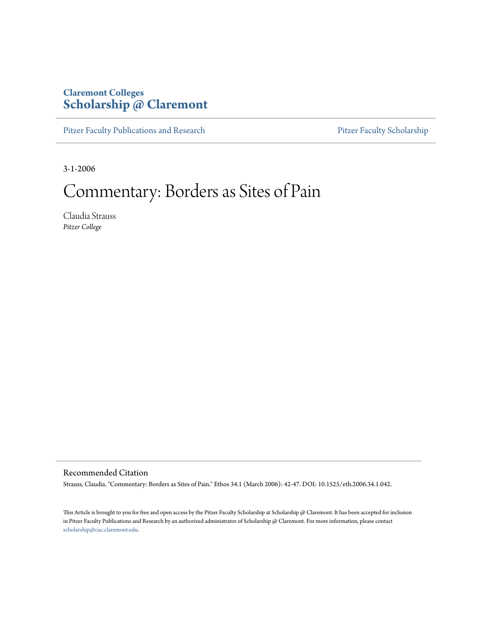# **Claremont Colleges [Scholarship @ Claremont](http://scholarship.claremont.edu)**

[Pitzer Faculty Publications and Research](http://scholarship.claremont.edu/pitzer_fac_pub) [Pitzer Faculty Scholarship](http://scholarship.claremont.edu/pitzer_faculty)

3-1-2006

# Commentary: Borders as Sites of Pain

Claudia Strauss *Pitzer College*

Recommended Citation

Strauss, Claudia. "Commentary: Borders as Sites of Pain." Ethos 34.1 (March 2006): 42-47. DOI: 10.1525/eth.2006.34.1.042.

This Article is brought to you for free and open access by the Pitzer Faculty Scholarship at Scholarship @ Claremont. It has been accepted for inclusion in Pitzer Faculty Publications and Research by an authorized administrator of Scholarship @ Claremont. For more information, please contact [scholarship@cuc.claremont.edu.](mailto:scholarship@cuc.claremont.edu)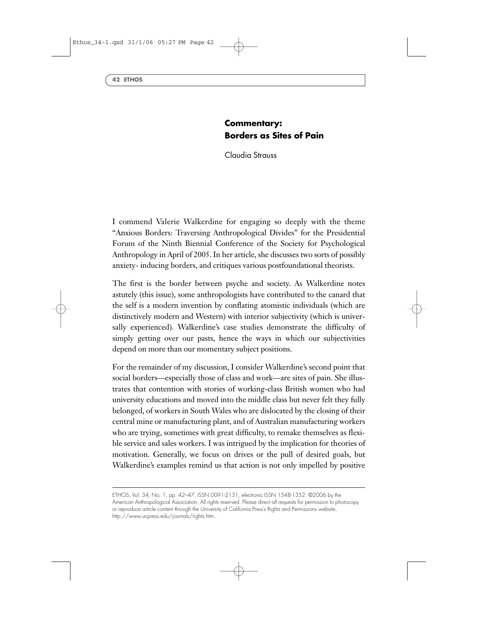## **Commentary: Borders as Sites of Pain**

Claudia Strauss

I commend Valerie Walkerdine for engaging so deeply with the theme "Anxious Borders: Traversing Anthropological Divides" for the Presidential Forum of the Ninth Biennial Conference of the Society for Psychological Anthropology in April of 2005. In her article, she discusses two sorts of possibly anxiety- inducing borders, and critiques various postfoundational theorists.

The first is the border between psyche and society. As Walkerdine notes astutely (this issue), some anthropologists have contributed to the canard that the self is a modern invention by conflating atomistic individuals (which are distinctively modern and Western) with interior subjectivity (which is universally experienced). Walkerdine's case studies demonstrate the difficulty of simply getting over our pasts, hence the ways in which our subjectivities depend on more than our momentary subject positions.

For the remainder of my discussion, I consider Walkerdine's second point that social borders—especially those of class and work—are sites of pain. She illustrates that contention with stories of working-class British women who had university educations and moved into the middle class but never felt they fully belonged, of workers in South Wales who are dislocated by the closing of their central mine or manufacturing plant, and of Australian manufacturing workers who are trying, sometimes with great difficulty, to remake themselves as flexible service and sales workers. I was intrigued by the implication for theories of motivation. Generally, we focus on drives or the pull of desired goals, but Walkerdine's examples remind us that action is not only impelled by positive

ETHOS, Vol. 34, No. 1, pp. 42–47, ISSN 0091-2131, electronic ISSN 1548-1352. ©2006 by the American Anthropological Association. All rights reserved. Please direct all requests for permission to photocopy or reproduce article content through the University of California Press's Rights and Permissions website, http://www.ucpress.edu/journals/rights.htm.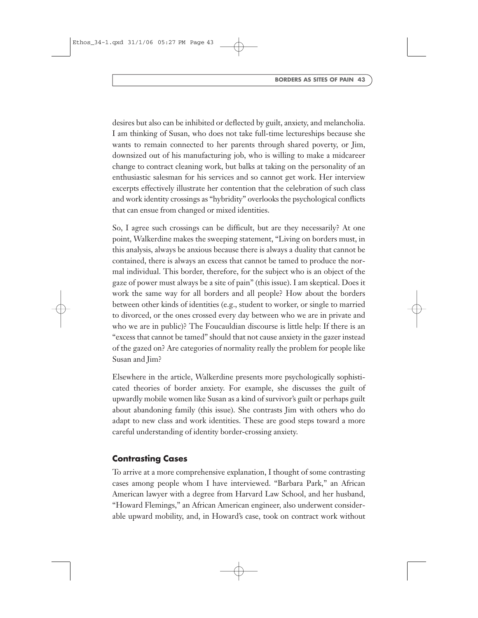desires but also can be inhibited or deflected by guilt, anxiety, and melancholia. I am thinking of Susan, who does not take full-time lectureships because she wants to remain connected to her parents through shared poverty, or Jim, downsized out of his manufacturing job, who is willing to make a midcareer change to contract cleaning work, but balks at taking on the personality of an enthusiastic salesman for his services and so cannot get work. Her interview excerpts effectively illustrate her contention that the celebration of such class and work identity crossings as "hybridity" overlooks the psychological conflicts that can ensue from changed or mixed identities.

So, I agree such crossings can be difficult, but are they necessarily? At one point, Walkerdine makes the sweeping statement, "Living on borders must, in this analysis, always be anxious because there is always a duality that cannot be contained, there is always an excess that cannot be tamed to produce the normal individual. This border, therefore, for the subject who is an object of the gaze of power must always be a site of pain" (this issue). I am skeptical. Does it work the same way for all borders and all people? How about the borders between other kinds of identities (e.g., student to worker, or single to married to divorced, or the ones crossed every day between who we are in private and who we are in public)? The Foucauldian discourse is little help: If there is an "excess that cannot be tamed" should that not cause anxiety in the gazer instead of the gazed on? Are categories of normality really the problem for people like Susan and Jim?

Elsewhere in the article, Walkerdine presents more psychologically sophisticated theories of border anxiety. For example, she discusses the guilt of upwardly mobile women like Susan as a kind of survivor's guilt or perhaps guilt about abandoning family (this issue). She contrasts Jim with others who do adapt to new class and work identities. These are good steps toward a more careful understanding of identity border-crossing anxiety.

### **Contrasting Cases**

To arrive at a more comprehensive explanation, I thought of some contrasting cases among people whom I have interviewed. "Barbara Park," an African American lawyer with a degree from Harvard Law School, and her husband, "Howard Flemings," an African American engineer, also underwent considerable upward mobility, and, in Howard's case, took on contract work without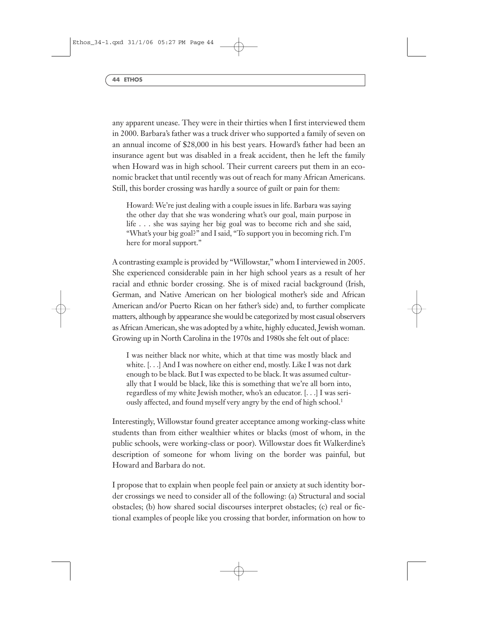any apparent unease. They were in their thirties when I first interviewed them in 2000. Barbara's father was a truck driver who supported a family of seven on an annual income of \$28,000 in his best years. Howard's father had been an insurance agent but was disabled in a freak accident, then he left the family when Howard was in high school. Their current careers put them in an economic bracket that until recently was out of reach for many African Americans. Still, this border crossing was hardly a source of guilt or pain for them:

Howard: We're just dealing with a couple issues in life. Barbara was saying the other day that she was wondering what's our goal, main purpose in life . . . she was saying her big goal was to become rich and she said, "What's your big goal?" and I said, "To support you in becoming rich. I'm here for moral support."

A contrasting example is provided by "Willowstar," whom I interviewed in 2005. She experienced considerable pain in her high school years as a result of her racial and ethnic border crossing. She is of mixed racial background (Irish, German, and Native American on her biological mother's side and African American and/or Puerto Rican on her father's side) and, to further complicate matters, although by appearance she would be categorized by most casual observers as African American, she was adopted by a white, highly educated, Jewish woman. Growing up in North Carolina in the 1970s and 1980s she felt out of place:

I was neither black nor white, which at that time was mostly black and white. [. . .] And I was nowhere on either end, mostly. Like I was not dark enough to be black. But I was expected to be black. It was assumed culturally that I would be black, like this is something that we're all born into, regardless of my white Jewish mother, who's an educator. [. . .] I was seriously affected, and found myself very angry by the end of high school.<sup>1</sup>

Interestingly, Willowstar found greater acceptance among working-class white students than from either wealthier whites or blacks (most of whom, in the public schools, were working-class or poor). Willowstar does fit Walkerdine's description of someone for whom living on the border was painful, but Howard and Barbara do not.

I propose that to explain when people feel pain or anxiety at such identity border crossings we need to consider all of the following: (a) Structural and social obstacles; (b) how shared social discourses interpret obstacles; (c) real or fictional examples of people like you crossing that border, information on how to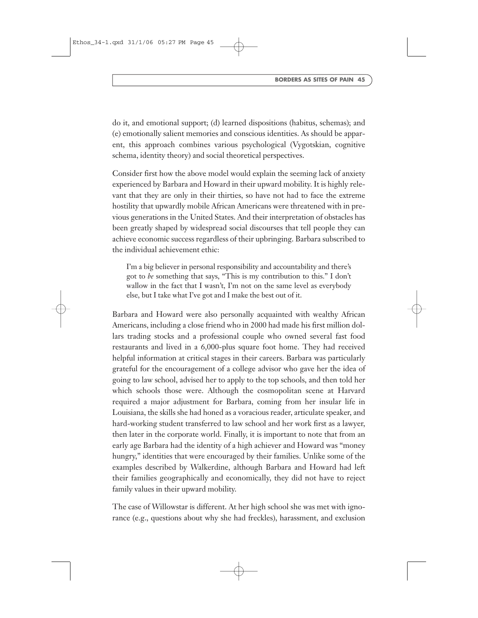do it, and emotional support; (d) learned dispositions (habitus, schemas); and (e) emotionally salient memories and conscious identities. As should be apparent, this approach combines various psychological (Vygotskian, cognitive schema, identity theory) and social theoretical perspectives.

Consider first how the above model would explain the seeming lack of anxiety experienced by Barbara and Howard in their upward mobility. It is highly relevant that they are only in their thirties, so have not had to face the extreme hostility that upwardly mobile African Americans were threatened with in previous generations in the United States. And their interpretation of obstacles has been greatly shaped by widespread social discourses that tell people they can achieve economic success regardless of their upbringing. Barbara subscribed to the individual achievement ethic:

I'm a big believer in personal responsibility and accountability and there's got to *be* something that says, "This is my contribution to this." I don't wallow in the fact that I wasn't, I'm not on the same level as everybody else, but I take what I've got and I make the best out of it.

Barbara and Howard were also personally acquainted with wealthy African Americans, including a close friend who in 2000 had made his first million dollars trading stocks and a professional couple who owned several fast food restaurants and lived in a 6,000-plus square foot home. They had received helpful information at critical stages in their careers. Barbara was particularly grateful for the encouragement of a college advisor who gave her the idea of going to law school, advised her to apply to the top schools, and then told her which schools those were. Although the cosmopolitan scene at Harvard required a major adjustment for Barbara, coming from her insular life in Louisiana, the skills she had honed as a voracious reader, articulate speaker, and hard-working student transferred to law school and her work first as a lawyer, then later in the corporate world. Finally, it is important to note that from an early age Barbara had the identity of a high achiever and Howard was "money hungry," identities that were encouraged by their families. Unlike some of the examples described by Walkerdine, although Barbara and Howard had left their families geographically and economically, they did not have to reject family values in their upward mobility.

The case of Willowstar is different. At her high school she was met with ignorance (e.g., questions about why she had freckles), harassment, and exclusion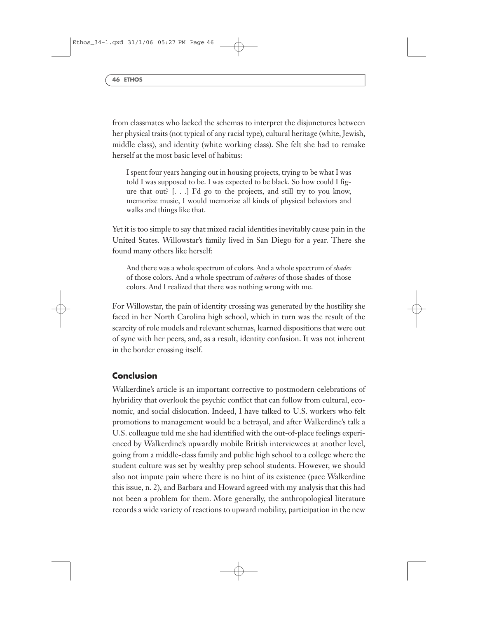from classmates who lacked the schemas to interpret the disjunctures between her physical traits (not typical of any racial type), cultural heritage (white, Jewish, middle class), and identity (white working class). She felt she had to remake herself at the most basic level of habitus:

I spent four years hanging out in housing projects, trying to be what I was told I was supposed to be. I was expected to be black. So how could I figure that out?  $[...]$  I'd go to the projects, and still try to you know, memorize music, I would memorize all kinds of physical behaviors and walks and things like that.

Yet it is too simple to say that mixed racial identities inevitably cause pain in the United States. Willowstar's family lived in San Diego for a year. There she found many others like herself:

And there was a whole spectrum of colors. And a whole spectrum of *shades* of those colors. And a whole spectrum of *cultures* of those shades of those colors. And I realized that there was nothing wrong with me.

For Willowstar, the pain of identity crossing was generated by the hostility she faced in her North Carolina high school, which in turn was the result of the scarcity of role models and relevant schemas, learned dispositions that were out of sync with her peers, and, as a result, identity confusion. It was not inherent in the border crossing itself.

#### **Conclusion**

Walkerdine's article is an important corrective to postmodern celebrations of hybridity that overlook the psychic conflict that can follow from cultural, economic, and social dislocation. Indeed, I have talked to U.S. workers who felt promotions to management would be a betrayal, and after Walkerdine's talk a U.S. colleague told me she had identified with the out-of-place feelings experienced by Walkerdine's upwardly mobile British interviewees at another level, going from a middle-class family and public high school to a college where the student culture was set by wealthy prep school students. However, we should also not impute pain where there is no hint of its existence (pace Walkerdine this issue, n. 2), and Barbara and Howard agreed with my analysis that this had not been a problem for them. More generally, the anthropological literature records a wide variety of reactions to upward mobility, participation in the new